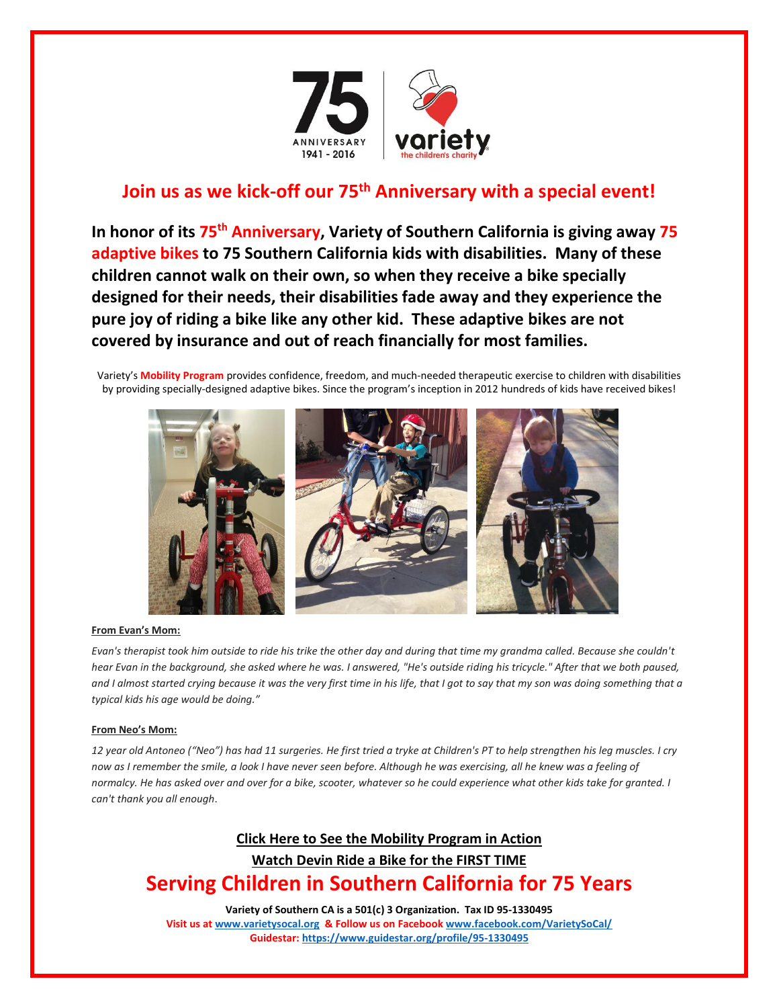

# **Join us as we kick-off our 75th Anniversary with a special event!**

**In honor of its 75th Anniversary, Variety of Southern California is giving away 75 adaptive bikes to 75 Southern California kids with disabilities. Many of these children cannot walk on their own, so when they receive a bike specially designed for their needs, their disabilities fade away and they experience the pure joy of riding a bike like any other kid. These adaptive bikes are not covered by insurance and out of reach financially for most families.**

Variety's **Mobility Program** provides confidence, freedom, and much-needed therapeutic exercise to children with disabilities by providing specially-designed adaptive bikes. Since the program's inception in 2012 hundreds of kids have received bikes!



## **From Evan's Mom:**

*Evan's therapist took him outside to ride his trike the other day and during that time my grandma called. Because she couldn't hear Evan in the background, she asked where he was. I answered, "He's outside riding his tricycle." After that we both paused, and I almost started crying because it was the very first time in his life, that I got to say that my son was doing something that a typical kids his age would be doing."*

## **From Neo's Mom:**

*12 year old Antoneo ("Neo") has had 11 surgeries. He first tried a tryke at Children's PT to help strengthen his leg muscles. I cry now as I remember the smile, a look I have never seen before. Although he was exercising, all he knew was a feeling of normalcy. He has asked over and over for a bike, scooter, whatever so he could experience what other kids take for granted. I can't thank you all enough*.

# **[Click Here to See the Mobility Program in Action](https://youtu.be/VrURdxrPh0g) Watch [Devin Ride a Bike for the FIRST TIME](https://youtu.be/3YY55DgyJts) Serving Children in Southern California for 75 Years**

**Variety of Southern CA is a 501(c) 3 Organization. Tax ID 95-1330495 Visit us a[t www.varietysocal.org](http://www.varietysocal.org/) & Follow us on Faceboo[k www.facebook.com/VarietySoCal/](http://www.facebook.com/VarietySoCal/) Guidestar[: https://www.guidestar.org/profile/95-1330495](https://www.guidestar.org/profile/95-1330495)**